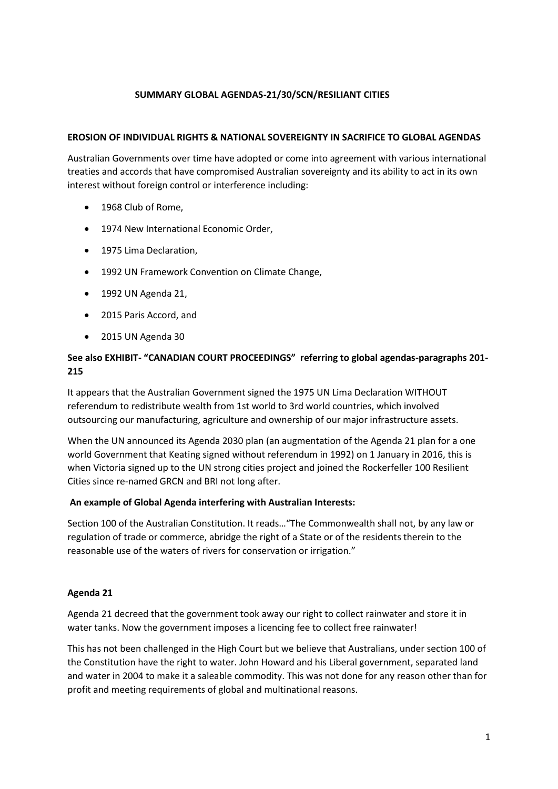## **SUMMARY GLOBAL AGENDAS-21/30/SCN/RESILIANT CITIES**

#### **EROSION OF INDIVIDUAL RIGHTS & NATIONAL SOVEREIGNTY IN SACRIFICE TO GLOBAL AGENDAS**

Australian Governments over time have adopted or come into agreement with various international treaties and accords that have compromised Australian sovereignty and its ability to act in its own interest without foreign control or interference including:

- 1968 Club of Rome,
- 1974 New International Economic Order,
- 1975 Lima Declaration,
- 1992 UN Framework Convention on Climate Change,
- 1992 UN Agenda 21,
- 2015 Paris Accord, and
- 2015 UN Agenda 30

# **See also EXHIBIT- "CANADIAN COURT PROCEEDINGS" referring to global agendas-paragraphs 201- 215**

It appears that the Australian Government signed the 1975 UN Lima Declaration WITHOUT referendum to redistribute wealth from 1st world to 3rd world countries, which involved outsourcing our manufacturing, agriculture and ownership of our major infrastructure assets.

When the UN announced its Agenda 2030 plan (an augmentation of the Agenda 21 plan for a one world Government that Keating signed without referendum in 1992) on 1 January in 2016, this is when Victoria signed up to the UN strong cities project and joined the Rockerfeller 100 Resilient Cities since re-named GRCN and BRI not long after.

## **An example of Global Agenda interfering with Australian Interests:**

Section 100 of the Australian Constitution. It reads…"The Commonwealth shall not, by any law or regulation of trade or commerce, abridge the right of a State or of the residents therein to the reasonable use of the waters of rivers for conservation or irrigation."

## **Agenda 21**

Agenda 21 decreed that the government took away our right to collect rainwater and store it in water tanks. Now the government imposes a licencing fee to collect free rainwater!

This has not been challenged in the High Court but we believe that Australians, under section 100 of the Constitution have the right to water. John Howard and his Liberal government, separated land and water in 2004 to make it a saleable commodity. This was not done for any reason other than for profit and meeting requirements of global and multinational reasons.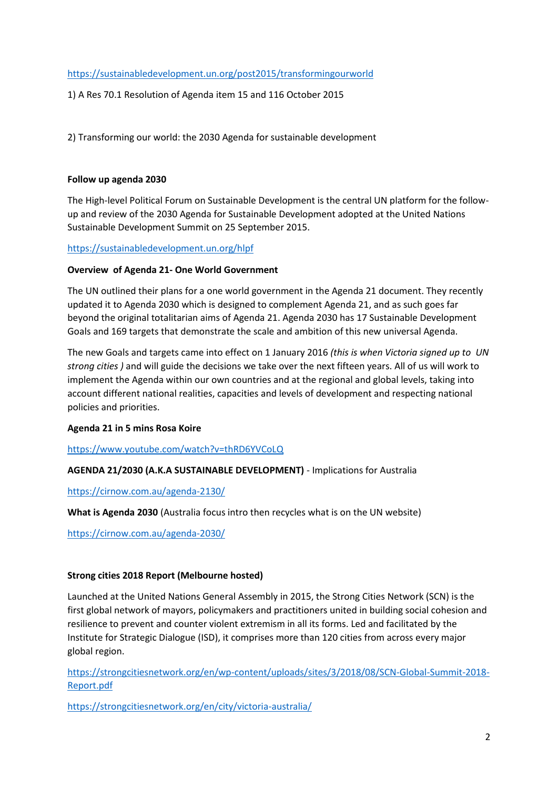### <https://sustainabledevelopment.un.org/post2015/transformingourworld>

1) A Res 70.1 Resolution of Agenda item 15 and 116 October 2015

2) Transforming our world: the 2030 Agenda for sustainable development

#### **Follow up agenda 2030**

The High-level Political Forum on Sustainable Development is the central UN platform for the followup and review of the 2030 Agenda for Sustainable Development adopted at the United Nations Sustainable Development Summit on 25 September 2015.

#### <https://sustainabledevelopment.un.org/hlpf>

#### **Overview of Agenda 21- One World Government**

The UN outlined their plans for a one world government in the Agenda 21 document. They recently updated it to Agenda 2030 which is designed to complement Agenda 21, and as such goes far beyond the original totalitarian aims of Agenda 21. Agenda 2030 has 17 Sustainable Development Goals and 169 targets that demonstrate the scale and ambition of this new universal Agenda.

The new Goals and targets came into effect on 1 January 2016 *(this is when Victoria signed up to UN strong cities )* and will guide the decisions we take over the next fifteen years. All of us will work to implement the Agenda within our own countries and at the regional and global levels, taking into account different national realities, capacities and levels of development and respecting national policies and priorities.

#### **Agenda 21 in 5 mins Rosa Koire**

<https://www.youtube.com/watch?v=thRD6YVCoLQ>

## **AGENDA 21/2030 (A.K.A SUSTAINABLE DEVELOPMENT)** - Implications for Australia

<https://cirnow.com.au/agenda-2130/>

**What is Agenda 2030** (Australia focus intro then recycles what is on the UN website)

<https://cirnow.com.au/agenda-2030/>

#### **Strong cities 2018 Report (Melbourne hosted)**

Launched at the United Nations General Assembly in 2015, the Strong Cities Network (SCN) is the first global network of mayors, policymakers and practitioners united in building social cohesion and resilience to prevent and counter violent extremism in all its forms. Led and facilitated by the Institute for Strategic Dialogue (ISD), it comprises more than 120 cities from across every major global region.

[https://strongcitiesnetwork.org/en/wp-content/uploads/sites/3/2018/08/SCN-Global-Summit-2018-](https://strongcitiesnetwork.org/en/wp-content/uploads/sites/3/2018/08/SCN-Global-Summit-2018-Report.pdf) [Report.pdf](https://strongcitiesnetwork.org/en/wp-content/uploads/sites/3/2018/08/SCN-Global-Summit-2018-Report.pdf)

<https://strongcitiesnetwork.org/en/city/victoria-australia/>